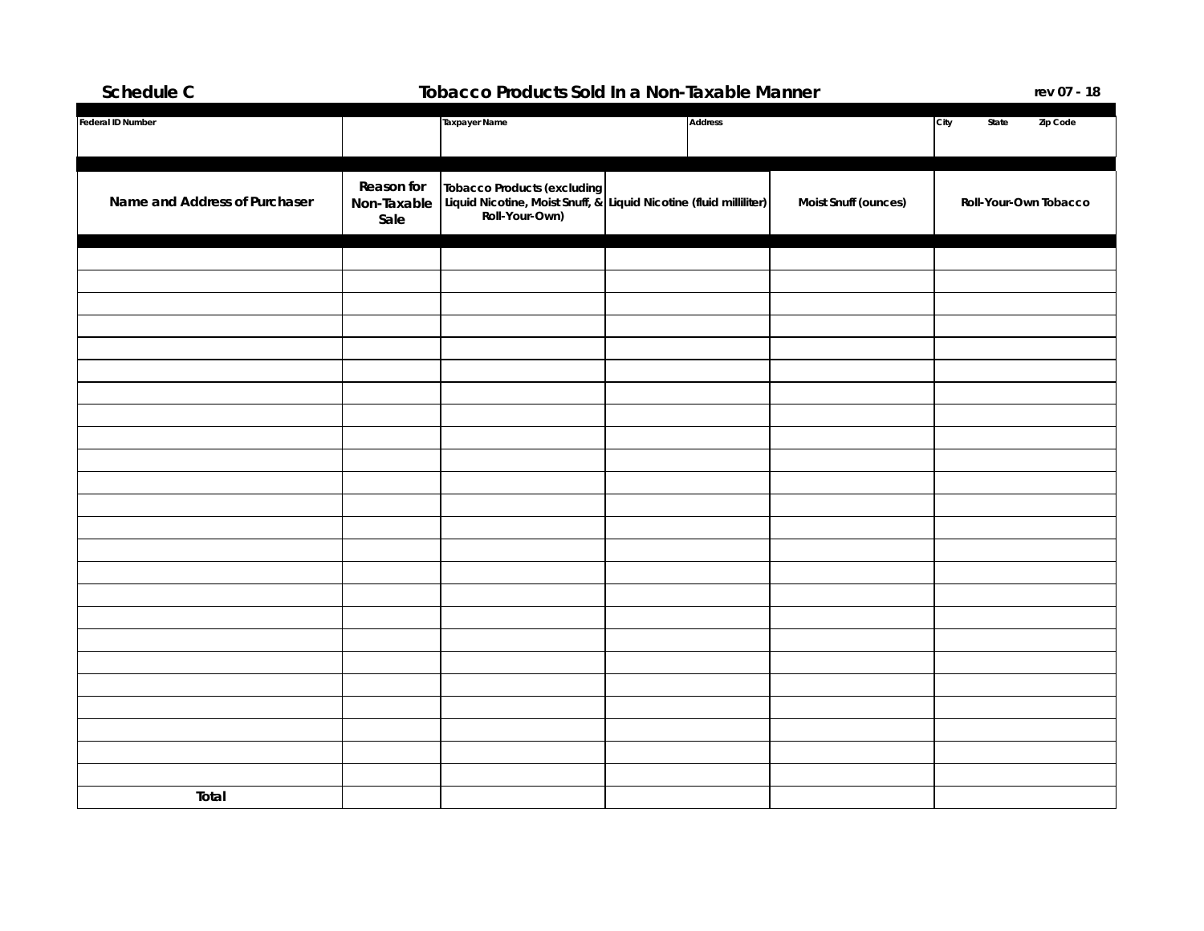## **Schedule C Tobacco Products Sold In a Non-Taxable Manner**

**rev 07 - 18**

| Federal ID Number             |                                   | Taxpayer Name                                                                                                       | Address |                      | City<br>State<br>Zip Code |
|-------------------------------|-----------------------------------|---------------------------------------------------------------------------------------------------------------------|---------|----------------------|---------------------------|
|                               |                                   |                                                                                                                     |         |                      |                           |
| Name and Address of Purchaser | Reason for<br>Non-Taxable<br>Sale | Tobacco Products (excluding<br>Liquid Nicotine, Moist Snuff, & Liquid Nicotine (fluid milliliter)<br>Roll-Your-Own) |         | Moist Snuff (ounces) | Roll-Your-Own Tobacco     |
|                               |                                   |                                                                                                                     |         |                      |                           |
|                               |                                   |                                                                                                                     |         |                      |                           |
|                               |                                   |                                                                                                                     |         |                      |                           |
|                               |                                   |                                                                                                                     |         |                      |                           |
|                               |                                   |                                                                                                                     |         |                      |                           |
|                               |                                   |                                                                                                                     |         |                      |                           |
|                               |                                   |                                                                                                                     |         |                      |                           |
|                               |                                   |                                                                                                                     |         |                      |                           |
|                               |                                   |                                                                                                                     |         |                      |                           |
|                               |                                   |                                                                                                                     |         |                      |                           |
|                               |                                   |                                                                                                                     |         |                      |                           |
|                               |                                   |                                                                                                                     |         |                      |                           |
|                               |                                   |                                                                                                                     |         |                      |                           |
|                               |                                   |                                                                                                                     |         |                      |                           |
|                               |                                   |                                                                                                                     |         |                      |                           |
|                               |                                   |                                                                                                                     |         |                      |                           |
|                               |                                   |                                                                                                                     |         |                      |                           |
|                               |                                   |                                                                                                                     |         |                      |                           |
|                               |                                   |                                                                                                                     |         |                      |                           |
|                               |                                   |                                                                                                                     |         |                      |                           |
|                               |                                   |                                                                                                                     |         |                      |                           |
| Total                         |                                   |                                                                                                                     |         |                      |                           |